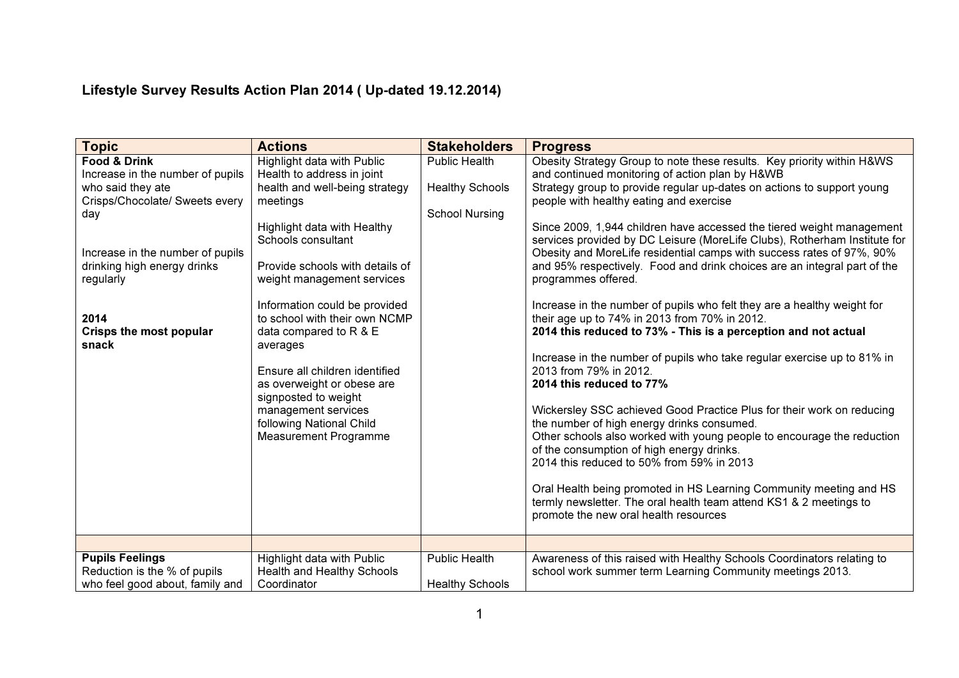## Lifestyle Survey Results Action Plan 2014 ( Up-dated 19.12.2014)

| <b>Topic</b>                                                                                                                                                                                                                                          | <b>Actions</b>                                                                                                                                                                                                                                                                                                                                                                                                                                                                                                  | <b>Stakeholders</b>                                                     | <b>Progress</b>                                                                                                                                                                                                                                                                                                                                                                                                                                                                                                                                                                                                                                                                                                                                                                                                                                                                                                                                                                                                                                                                                                                                                                                                                                                                                                                                                                                 |
|-------------------------------------------------------------------------------------------------------------------------------------------------------------------------------------------------------------------------------------------------------|-----------------------------------------------------------------------------------------------------------------------------------------------------------------------------------------------------------------------------------------------------------------------------------------------------------------------------------------------------------------------------------------------------------------------------------------------------------------------------------------------------------------|-------------------------------------------------------------------------|-------------------------------------------------------------------------------------------------------------------------------------------------------------------------------------------------------------------------------------------------------------------------------------------------------------------------------------------------------------------------------------------------------------------------------------------------------------------------------------------------------------------------------------------------------------------------------------------------------------------------------------------------------------------------------------------------------------------------------------------------------------------------------------------------------------------------------------------------------------------------------------------------------------------------------------------------------------------------------------------------------------------------------------------------------------------------------------------------------------------------------------------------------------------------------------------------------------------------------------------------------------------------------------------------------------------------------------------------------------------------------------------------|
| <b>Food &amp; Drink</b><br>Increase in the number of pupils<br>who said they ate<br>Crisps/Chocolate/ Sweets every<br>day<br>Increase in the number of pupils<br>drinking high energy drinks<br>regularly<br>2014<br>Crisps the most popular<br>snack | Highlight data with Public<br>Health to address in joint<br>health and well-being strategy<br>meetings<br>Highlight data with Healthy<br>Schools consultant<br>Provide schools with details of<br>weight management services<br>Information could be provided<br>to school with their own NCMP<br>data compared to R & E<br>averages<br>Ensure all children identified<br>as overweight or obese are<br>signposted to weight<br>management services<br>following National Child<br><b>Measurement Programme</b> | <b>Public Health</b><br><b>Healthy Schools</b><br><b>School Nursing</b> | Obesity Strategy Group to note these results. Key priority within H&WS<br>and continued monitoring of action plan by H&WB<br>Strategy group to provide regular up-dates on actions to support young<br>people with healthy eating and exercise<br>Since 2009, 1,944 children have accessed the tiered weight management<br>services provided by DC Leisure (MoreLife Clubs), Rotherham Institute for<br>Obesity and MoreLife residential camps with success rates of 97%, 90%<br>and 95% respectively. Food and drink choices are an integral part of the<br>programmes offered.<br>Increase in the number of pupils who felt they are a healthy weight for<br>their age up to 74% in 2013 from 70% in 2012.<br>2014 this reduced to 73% - This is a perception and not actual<br>Increase in the number of pupils who take regular exercise up to 81% in<br>2013 from 79% in 2012.<br>2014 this reduced to 77%<br>Wickersley SSC achieved Good Practice Plus for their work on reducing<br>the number of high energy drinks consumed.<br>Other schools also worked with young people to encourage the reduction<br>of the consumption of high energy drinks.<br>2014 this reduced to 50% from 59% in 2013<br>Oral Health being promoted in HS Learning Community meeting and HS<br>termly newsletter. The oral health team attend KS1 & 2 meetings to<br>promote the new oral health resources |
|                                                                                                                                                                                                                                                       |                                                                                                                                                                                                                                                                                                                                                                                                                                                                                                                 |                                                                         |                                                                                                                                                                                                                                                                                                                                                                                                                                                                                                                                                                                                                                                                                                                                                                                                                                                                                                                                                                                                                                                                                                                                                                                                                                                                                                                                                                                                 |
| <b>Pupils Feelings</b><br>Reduction is the % of pupils<br>who feel good about, family and                                                                                                                                                             | Highlight data with Public<br>Health and Healthy Schools<br>Coordinator                                                                                                                                                                                                                                                                                                                                                                                                                                         | <b>Public Health</b><br><b>Healthy Schools</b>                          | Awareness of this raised with Healthy Schools Coordinators relating to<br>school work summer term Learning Community meetings 2013.                                                                                                                                                                                                                                                                                                                                                                                                                                                                                                                                                                                                                                                                                                                                                                                                                                                                                                                                                                                                                                                                                                                                                                                                                                                             |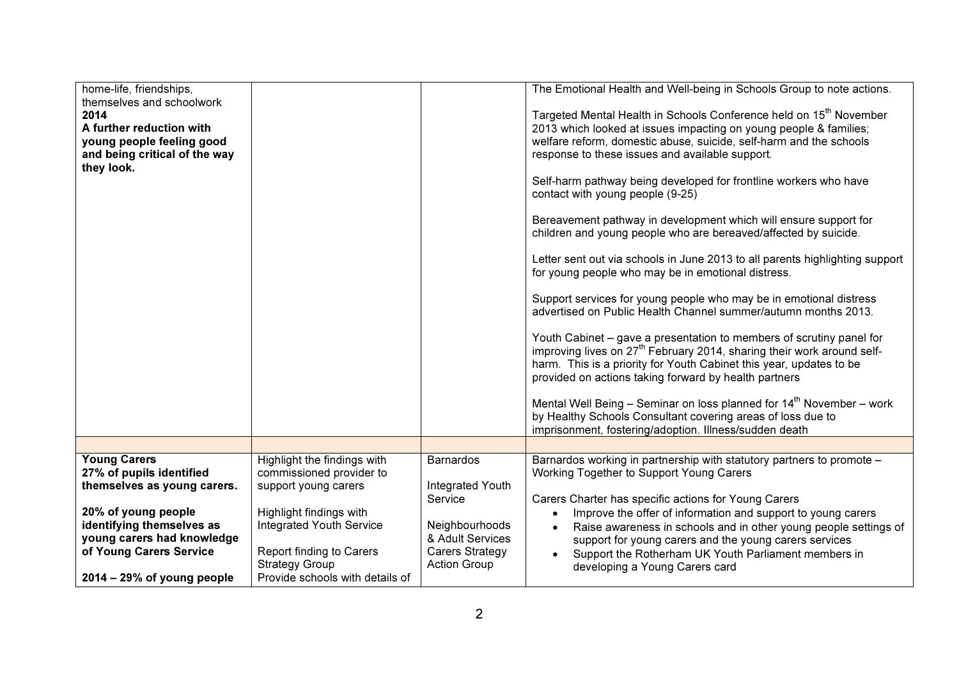| home-life, friendships,<br>themselves and schoolwork<br>2014<br>A further reduction with<br>young people feeling good<br>and being critical of the way<br>they look.                        |                                                                                                                                                                                             |                                                                                                                                 | The Emotional Health and Well-being in Schools Group to note actions.<br>Targeted Mental Health in Schools Conference held on 15 <sup>th</sup> November<br>2013 which looked at issues impacting on young people & families;<br>welfare reform, domestic abuse, suicide, self-harm and the schools<br>response to these issues and available support.<br>Self-harm pathway being developed for frontline workers who have<br>contact with young people (9-25)<br>Bereavement pathway in development which will ensure support for<br>children and young people who are bereaved/affected by suicide.<br>Letter sent out via schools in June 2013 to all parents highlighting support<br>for young people who may be in emotional distress.<br>Support services for young people who may be in emotional distress<br>advertised on Public Health Channel summer/autumn months 2013.<br>Youth Cabinet – gave a presentation to members of scrutiny panel for<br>improving lives on 27 <sup>th</sup> February 2014, sharing their work around self-<br>harm. This is a priority for Youth Cabinet this year, updates to be<br>provided on actions taking forward by health partners<br>Mental Well Being – Seminar on loss planned for $14th$ November – work<br>by Healthy Schools Consultant covering areas of loss due to<br>imprisonment, fostering/adoption. Illness/sudden death |
|---------------------------------------------------------------------------------------------------------------------------------------------------------------------------------------------|---------------------------------------------------------------------------------------------------------------------------------------------------------------------------------------------|---------------------------------------------------------------------------------------------------------------------------------|-------------------------------------------------------------------------------------------------------------------------------------------------------------------------------------------------------------------------------------------------------------------------------------------------------------------------------------------------------------------------------------------------------------------------------------------------------------------------------------------------------------------------------------------------------------------------------------------------------------------------------------------------------------------------------------------------------------------------------------------------------------------------------------------------------------------------------------------------------------------------------------------------------------------------------------------------------------------------------------------------------------------------------------------------------------------------------------------------------------------------------------------------------------------------------------------------------------------------------------------------------------------------------------------------------------------------------------------------------------------------------------|
|                                                                                                                                                                                             |                                                                                                                                                                                             |                                                                                                                                 |                                                                                                                                                                                                                                                                                                                                                                                                                                                                                                                                                                                                                                                                                                                                                                                                                                                                                                                                                                                                                                                                                                                                                                                                                                                                                                                                                                                     |
| <b>Young Carers</b><br>27% of pupils identified<br>themselves as young carers.<br>20% of young people<br>identifying themselves as<br>young carers had knowledge<br>of Young Carers Service | Highlight the findings with<br>commissioned provider to<br>support young carers<br>Highlight findings with<br>Integrated Youth Service<br>Report finding to Carers<br><b>Strategy Group</b> | <b>Barnardos</b><br>Integrated Youth<br>Service<br>Neighbourhoods<br>& Adult Services<br>Carers Strategy<br><b>Action Group</b> | Barnardos working in partnership with statutory partners to promote -<br>Working Together to Support Young Carers<br>Carers Charter has specific actions for Young Carers<br>Improve the offer of information and support to young carers<br>$\bullet$<br>Raise awareness in schools and in other young people settings of<br>$\bullet$<br>support for young carers and the young carers services<br>Support the Rotherham UK Youth Parliament members in<br>developing a Young Carers card                                                                                                                                                                                                                                                                                                                                                                                                                                                                                                                                                                                                                                                                                                                                                                                                                                                                                         |
| $2014 - 29\%$ of young people                                                                                                                                                               | Provide schools with details of                                                                                                                                                             |                                                                                                                                 |                                                                                                                                                                                                                                                                                                                                                                                                                                                                                                                                                                                                                                                                                                                                                                                                                                                                                                                                                                                                                                                                                                                                                                                                                                                                                                                                                                                     |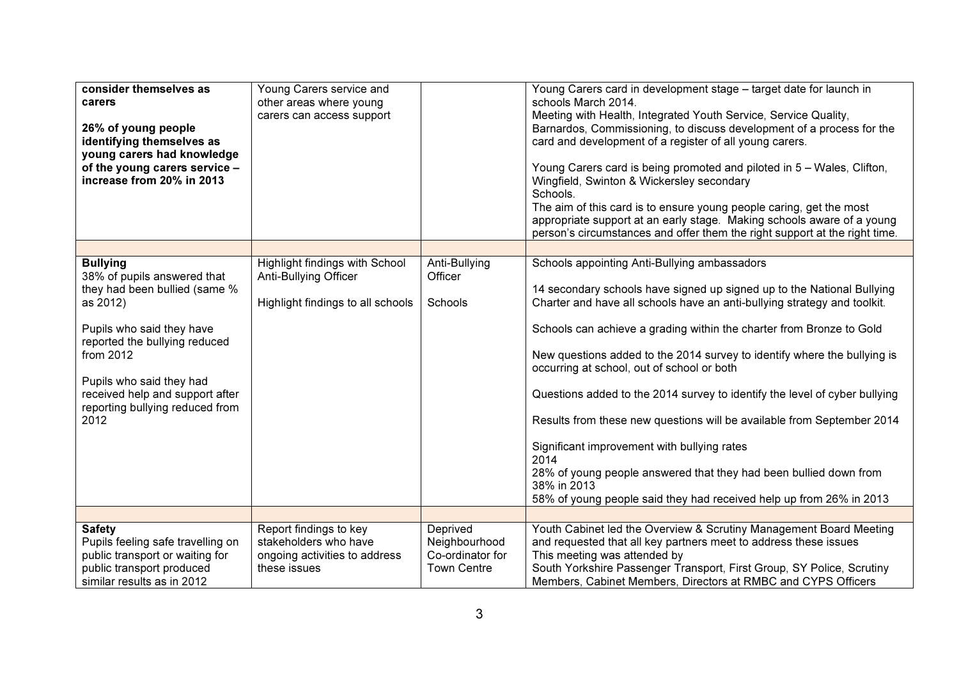| consider themselves as<br>carers<br>26% of young people<br>identifying themselves as<br>young carers had knowledge<br>of the young carers service -<br>increase from 20% in 2013                                                                                                 | Young Carers service and<br>other areas where young<br>carers can access support                 |                                                                     | Young Carers card in development stage - target date for launch in<br>schools March 2014.<br>Meeting with Health, Integrated Youth Service, Service Quality,<br>Barnardos, Commissioning, to discuss development of a process for the<br>card and development of a register of all young carers.<br>Young Carers card is being promoted and piloted in 5 - Wales, Clifton,<br>Wingfield, Swinton & Wickersley secondary<br>Schools.<br>The aim of this card is to ensure young people caring, get the most<br>appropriate support at an early stage. Making schools aware of a young<br>person's circumstances and offer them the right support at the right time.                                      |
|----------------------------------------------------------------------------------------------------------------------------------------------------------------------------------------------------------------------------------------------------------------------------------|--------------------------------------------------------------------------------------------------|---------------------------------------------------------------------|---------------------------------------------------------------------------------------------------------------------------------------------------------------------------------------------------------------------------------------------------------------------------------------------------------------------------------------------------------------------------------------------------------------------------------------------------------------------------------------------------------------------------------------------------------------------------------------------------------------------------------------------------------------------------------------------------------|
| <b>Bullying</b><br>38% of pupils answered that<br>they had been bullied (same %<br>as 2012)<br>Pupils who said they have<br>reported the bullying reduced<br>from 2012<br>Pupils who said they had<br>received help and support after<br>reporting bullying reduced from<br>2012 | Highlight findings with School<br>Anti-Bullying Officer<br>Highlight findings to all schools     | Anti-Bullying<br>Officer<br>Schools                                 | Schools appointing Anti-Bullying ambassadors<br>14 secondary schools have signed up signed up to the National Bullying<br>Charter and have all schools have an anti-bullying strategy and toolkit.<br>Schools can achieve a grading within the charter from Bronze to Gold<br>New questions added to the 2014 survey to identify where the bullying is<br>occurring at school, out of school or both<br>Questions added to the 2014 survey to identify the level of cyber bullying<br>Results from these new questions will be available from September 2014<br>Significant improvement with bullying rates<br>2014<br>28% of young people answered that they had been bullied down from<br>38% in 2013 |
| <b>Safety</b><br>Pupils feeling safe travelling on<br>public transport or waiting for<br>public transport produced<br>similar results as in 2012                                                                                                                                 | Report findings to key<br>stakeholders who have<br>ongoing activities to address<br>these issues | Deprived<br>Neighbourhood<br>Co-ordinator for<br><b>Town Centre</b> | 58% of young people said they had received help up from 26% in 2013<br>Youth Cabinet led the Overview & Scrutiny Management Board Meeting<br>and requested that all key partners meet to address these issues<br>This meeting was attended by<br>South Yorkshire Passenger Transport, First Group, SY Police, Scrutiny<br>Members, Cabinet Members, Directors at RMBC and CYPS Officers                                                                                                                                                                                                                                                                                                                 |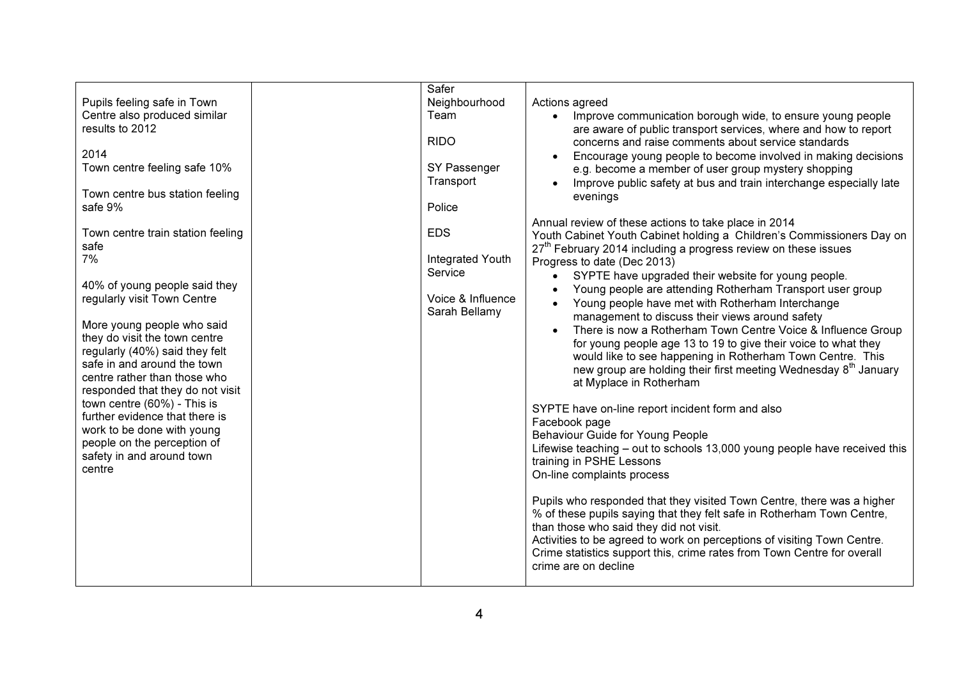| Pupils feeling safe in Town<br>Centre also produced similar<br>results to 2012<br>2014                                                                                                                                                                                                                                                                                                                                                                                                   | Safer<br>Neighbourhood<br>Team<br><b>RIDO</b>                                   | Actions agreed<br>Improve communication borough wide, to ensure young people<br>are aware of public transport services, where and how to report<br>concerns and raise comments about service standards<br>Encourage young people to become involved in making decisions                                                                                                                                                                                                                                                                                                                                                                                                                                                                                                                                                                                                                                                                                                                                                                                                                                                                                                                                                                                                                                                                                                                                      |
|------------------------------------------------------------------------------------------------------------------------------------------------------------------------------------------------------------------------------------------------------------------------------------------------------------------------------------------------------------------------------------------------------------------------------------------------------------------------------------------|---------------------------------------------------------------------------------|--------------------------------------------------------------------------------------------------------------------------------------------------------------------------------------------------------------------------------------------------------------------------------------------------------------------------------------------------------------------------------------------------------------------------------------------------------------------------------------------------------------------------------------------------------------------------------------------------------------------------------------------------------------------------------------------------------------------------------------------------------------------------------------------------------------------------------------------------------------------------------------------------------------------------------------------------------------------------------------------------------------------------------------------------------------------------------------------------------------------------------------------------------------------------------------------------------------------------------------------------------------------------------------------------------------------------------------------------------------------------------------------------------------|
| Town centre feeling safe 10%<br>Town centre bus station feeling<br>safe 9%                                                                                                                                                                                                                                                                                                                                                                                                               | SY Passenger<br>Transport<br>Police                                             | e.g. become a member of user group mystery shopping<br>Improve public safety at bus and train interchange especially late<br>evenings                                                                                                                                                                                                                                                                                                                                                                                                                                                                                                                                                                                                                                                                                                                                                                                                                                                                                                                                                                                                                                                                                                                                                                                                                                                                        |
| Town centre train station feeling<br>safe<br>7%<br>40% of young people said they<br>regularly visit Town Centre<br>More young people who said<br>they do visit the town centre<br>regularly (40%) said they felt<br>safe in and around the town<br>centre rather than those who<br>responded that they do not visit<br>town centre (60%) - This is<br>further evidence that there is<br>work to be done with young<br>people on the perception of<br>safety in and around town<br>centre | <b>EDS</b><br>Integrated Youth<br>Service<br>Voice & Influence<br>Sarah Bellamy | Annual review of these actions to take place in 2014<br>Youth Cabinet Youth Cabinet holding a Children's Commissioners Day on<br>27 <sup>th</sup> February 2014 including a progress review on these issues<br>Progress to date (Dec 2013)<br>SYPTE have upgraded their website for young people.<br>Young people are attending Rotherham Transport user group<br>Young people have met with Rotherham Interchange<br>management to discuss their views around safety<br>There is now a Rotherham Town Centre Voice & Influence Group<br>for young people age 13 to 19 to give their voice to what they<br>would like to see happening in Rotherham Town Centre. This<br>new group are holding their first meeting Wednesday 8 <sup>th</sup> January<br>at Myplace in Rotherham<br>SYPTE have on-line report incident form and also<br>Facebook page<br>Behaviour Guide for Young People<br>Lifewise teaching – out to schools 13,000 young people have received this<br>training in PSHE Lessons<br>On-line complaints process<br>Pupils who responded that they visited Town Centre, there was a higher<br>% of these pupils saying that they felt safe in Rotherham Town Centre,<br>than those who said they did not visit.<br>Activities to be agreed to work on perceptions of visiting Town Centre.<br>Crime statistics support this, crime rates from Town Centre for overall<br>crime are on decline |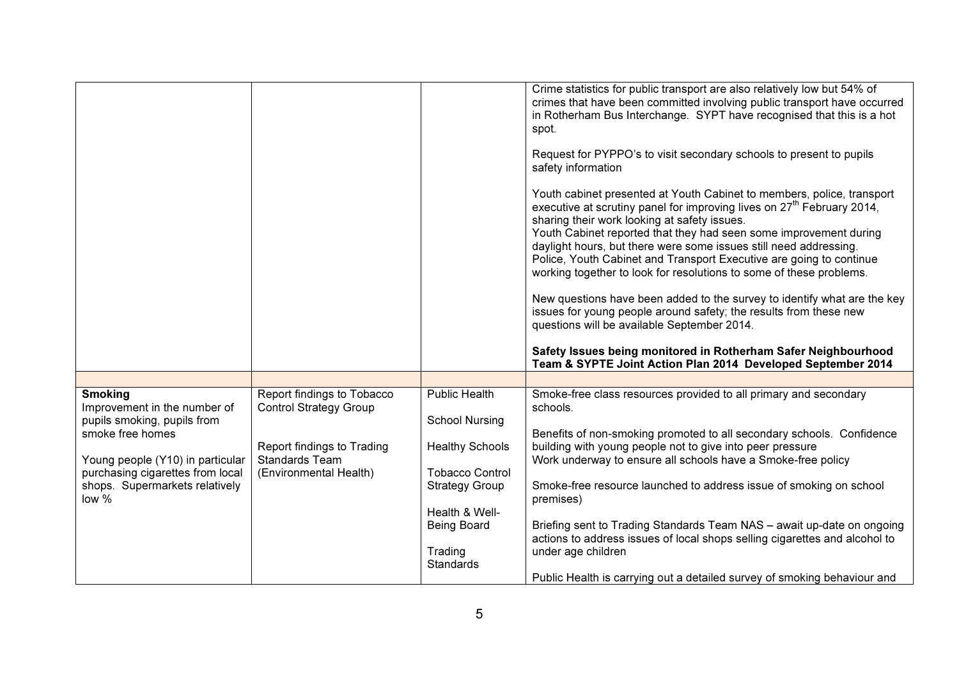|                                                                                                                                                                                                                      |                                                                                                                                              |                                                                                                                                                                                                   | Crime statistics for public transport are also relatively low but 54% of<br>crimes that have been committed involving public transport have occurred<br>in Rotherham Bus Interchange. SYPT have recognised that this is a hot<br>spot.<br>Request for PYPPO's to visit secondary schools to present to pupils<br>safety information<br>Youth cabinet presented at Youth Cabinet to members, police, transport<br>executive at scrutiny panel for improving lives on $27th$ February 2014,<br>sharing their work looking at safety issues.<br>Youth Cabinet reported that they had seen some improvement during<br>daylight hours, but there were some issues still need addressing.<br>Police, Youth Cabinet and Transport Executive are going to continue<br>working together to look for resolutions to some of these problems.<br>New questions have been added to the survey to identify what are the key<br>issues for young people around safety; the results from these new<br>questions will be available September 2014.<br>Safety Issues being monitored in Rotherham Safer Neighbourhood<br>Team & SYPTE Joint Action Plan 2014 Developed September 2014 |
|----------------------------------------------------------------------------------------------------------------------------------------------------------------------------------------------------------------------|----------------------------------------------------------------------------------------------------------------------------------------------|---------------------------------------------------------------------------------------------------------------------------------------------------------------------------------------------------|---------------------------------------------------------------------------------------------------------------------------------------------------------------------------------------------------------------------------------------------------------------------------------------------------------------------------------------------------------------------------------------------------------------------------------------------------------------------------------------------------------------------------------------------------------------------------------------------------------------------------------------------------------------------------------------------------------------------------------------------------------------------------------------------------------------------------------------------------------------------------------------------------------------------------------------------------------------------------------------------------------------------------------------------------------------------------------------------------------------------------------------------------------------------|
|                                                                                                                                                                                                                      |                                                                                                                                              |                                                                                                                                                                                                   |                                                                                                                                                                                                                                                                                                                                                                                                                                                                                                                                                                                                                                                                                                                                                                                                                                                                                                                                                                                                                                                                                                                                                                     |
| <b>Smoking</b><br>Improvement in the number of<br>pupils smoking, pupils from<br>smoke free homes<br>Young people (Y10) in particular<br>purchasing cigarettes from local<br>shops. Supermarkets relatively<br>low % | Report findings to Tobacco<br><b>Control Strategy Group</b><br>Report findings to Trading<br><b>Standards Team</b><br>(Environmental Health) | <b>Public Health</b><br><b>School Nursing</b><br><b>Healthy Schools</b><br><b>Tobacco Control</b><br><b>Strategy Group</b><br>Health & Well-<br><b>Being Board</b><br>Trading<br><b>Standards</b> | Smoke-free class resources provided to all primary and secondary<br>schools.<br>Benefits of non-smoking promoted to all secondary schools. Confidence<br>building with young people not to give into peer pressure<br>Work underway to ensure all schools have a Smoke-free policy<br>Smoke-free resource launched to address issue of smoking on school<br>premises)<br>Briefing sent to Trading Standards Team NAS - await up-date on ongoing<br>actions to address issues of local shops selling cigarettes and alcohol to<br>under age children<br>Public Health is carrying out a detailed survey of smoking behaviour and                                                                                                                                                                                                                                                                                                                                                                                                                                                                                                                                     |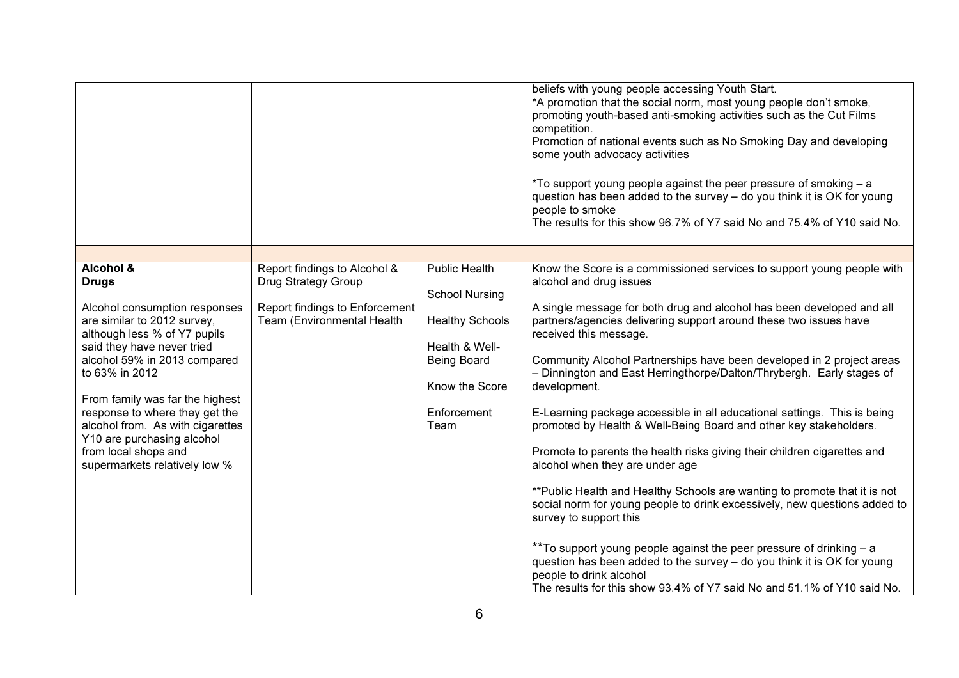|                                                                                                                                                                                                                                                                                                                                                                                                                      |                                                                                                                     |                                                                                                                                                   | beliefs with young people accessing Youth Start.<br>*A promotion that the social norm, most young people don't smoke,<br>promoting youth-based anti-smoking activities such as the Cut Films<br>competition.<br>Promotion of national events such as No Smoking Day and developing<br>some youth advocacy activities<br>*To support young people against the peer pressure of smoking - a<br>question has been added to the survey - do you think it is OK for young<br>people to smoke<br>The results for this show 96.7% of Y7 said No and 75.4% of Y10 said No.                                                                                                                                                                                                                                                                                                                                                                                                                                                                                                                                                                                        |
|----------------------------------------------------------------------------------------------------------------------------------------------------------------------------------------------------------------------------------------------------------------------------------------------------------------------------------------------------------------------------------------------------------------------|---------------------------------------------------------------------------------------------------------------------|---------------------------------------------------------------------------------------------------------------------------------------------------|-----------------------------------------------------------------------------------------------------------------------------------------------------------------------------------------------------------------------------------------------------------------------------------------------------------------------------------------------------------------------------------------------------------------------------------------------------------------------------------------------------------------------------------------------------------------------------------------------------------------------------------------------------------------------------------------------------------------------------------------------------------------------------------------------------------------------------------------------------------------------------------------------------------------------------------------------------------------------------------------------------------------------------------------------------------------------------------------------------------------------------------------------------------|
|                                                                                                                                                                                                                                                                                                                                                                                                                      |                                                                                                                     |                                                                                                                                                   |                                                                                                                                                                                                                                                                                                                                                                                                                                                                                                                                                                                                                                                                                                                                                                                                                                                                                                                                                                                                                                                                                                                                                           |
| <b>Alcohol &amp;</b><br><b>Drugs</b><br>Alcohol consumption responses<br>are similar to 2012 survey,<br>although less % of Y7 pupils<br>said they have never tried<br>alcohol 59% in 2013 compared<br>to 63% in 2012<br>From family was far the highest<br>response to where they get the<br>alcohol from. As with cigarettes<br>Y10 are purchasing alcohol<br>from local shops and<br>supermarkets relatively low % | Report findings to Alcohol &<br>Drug Strategy Group<br>Report findings to Enforcement<br>Team (Environmental Health | <b>Public Health</b><br><b>School Nursing</b><br><b>Healthy Schools</b><br>Health & Well-<br>Being Board<br>Know the Score<br>Enforcement<br>Team | Know the Score is a commissioned services to support young people with<br>alcohol and drug issues<br>A single message for both drug and alcohol has been developed and all<br>partners/agencies delivering support around these two issues have<br>received this message.<br>Community Alcohol Partnerships have been developed in 2 project areas<br>- Dinnington and East Herringthorpe/Dalton/Thrybergh. Early stages of<br>development.<br>E-Learning package accessible in all educational settings. This is being<br>promoted by Health & Well-Being Board and other key stakeholders.<br>Promote to parents the health risks giving their children cigarettes and<br>alcohol when they are under age<br>** Public Health and Healthy Schools are wanting to promote that it is not<br>social norm for young people to drink excessively, new questions added to<br>survey to support this<br>** To support young people against the peer pressure of drinking - a<br>question has been added to the survey - do you think it is OK for young<br>people to drink alcohol<br>The results for this show 93.4% of Y7 said No and 51.1% of Y10 said No. |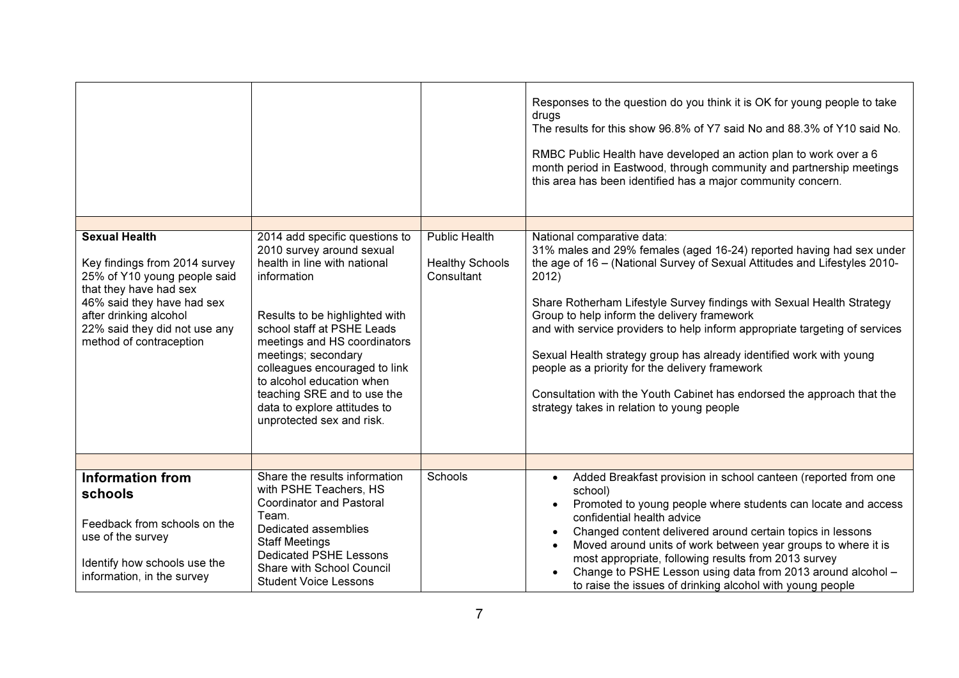|                                                               |                                                                                            |                                      | Responses to the question do you think it is OK for young people to take<br>drugs<br>The results for this show 96.8% of Y7 said No and 88.3% of Y10 said No.<br>RMBC Public Health have developed an action plan to work over a 6<br>month period in Eastwood, through community and partnership meetings<br>this area has been identified has a major community concern. |
|---------------------------------------------------------------|--------------------------------------------------------------------------------------------|--------------------------------------|---------------------------------------------------------------------------------------------------------------------------------------------------------------------------------------------------------------------------------------------------------------------------------------------------------------------------------------------------------------------------|
| <b>Sexual Health</b>                                          | 2014 add specific questions to<br>2010 survey around sexual                                | <b>Public Health</b>                 | National comparative data:<br>31% males and 29% females (aged 16-24) reported having had sex under                                                                                                                                                                                                                                                                        |
| Key findings from 2014 survey<br>25% of Y10 young people said | health in line with national<br>information                                                | <b>Healthy Schools</b><br>Consultant | the age of 16 - (National Survey of Sexual Attitudes and Lifestyles 2010-<br>2012)                                                                                                                                                                                                                                                                                        |
| that they have had sex<br>46% said they have had sex          |                                                                                            |                                      | Share Rotherham Lifestyle Survey findings with Sexual Health Strategy                                                                                                                                                                                                                                                                                                     |
| after drinking alcohol<br>22% said they did not use any       | Results to be highlighted with<br>school staff at PSHE Leads                               |                                      | Group to help inform the delivery framework<br>and with service providers to help inform appropriate targeting of services                                                                                                                                                                                                                                                |
| method of contraception                                       | meetings and HS coordinators<br>meetings; secondary                                        |                                      | Sexual Health strategy group has already identified work with young                                                                                                                                                                                                                                                                                                       |
|                                                               | colleagues encouraged to link<br>to alcohol education when                                 |                                      | people as a priority for the delivery framework                                                                                                                                                                                                                                                                                                                           |
|                                                               | teaching SRE and to use the<br>data to explore attitudes to<br>unprotected sex and risk.   |                                      | Consultation with the Youth Cabinet has endorsed the approach that the<br>strategy takes in relation to young people                                                                                                                                                                                                                                                      |
|                                                               |                                                                                            |                                      |                                                                                                                                                                                                                                                                                                                                                                           |
|                                                               |                                                                                            |                                      |                                                                                                                                                                                                                                                                                                                                                                           |
| <b>Information from</b><br>schools                            | Share the results information<br>with PSHE Teachers, HS<br><b>Coordinator and Pastoral</b> | Schools                              | Added Breakfast provision in school canteen (reported from one<br>$\bullet$<br>school)<br>Promoted to young people where students can locate and access                                                                                                                                                                                                                   |
| Feedback from schools on the<br>use of the survey             | Team.<br>Dedicated assemblies<br><b>Staff Meetings</b>                                     |                                      | confidential health advice<br>Changed content delivered around certain topics in lessons                                                                                                                                                                                                                                                                                  |
| Identify how schools use the<br>information, in the survey    | Dedicated PSHE Lessons<br>Share with School Council<br><b>Student Voice Lessons</b>        |                                      | Moved around units of work between year groups to where it is<br>most appropriate, following results from 2013 survey<br>Change to PSHE Lesson using data from 2013 around alcohol -<br>to raise the issues of drinking alcohol with young people                                                                                                                         |